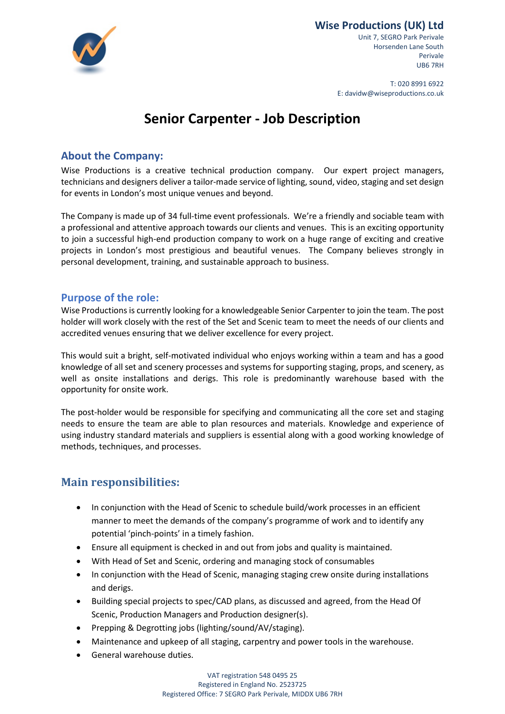

Unit 7, SEGRO Park Perivale Horsenden Lane South Perivale UB6 7RH

T: 020 8991 6922 E: davidw@wiseproductions.co.uk

# **Senior Carpenter - Job Description**

### **About the Company:**

Wise Productions is a creative technical production company. Our expert project managers, technicians and designers deliver a tailor-made service of lighting, sound, video, staging and set design for events in London's most unique venues and beyond.

The Company is made up of 34 full-time event professionals. We're a friendly and sociable team with a professional and attentive approach towards our clients and venues. This is an exciting opportunity to join a successful high-end production company to work on a huge range of exciting and creative projects in London's most prestigious and beautiful venues. The Company believes strongly in personal development, training, and sustainable approach to business.

### **Purpose of the role:**

Wise Productions is currently looking for a knowledgeable Senior Carpenter to join the team. The post holder will work closely with the rest of the Set and Scenic team to meet the needs of our clients and accredited venues ensuring that we deliver excellence for every project.

This would suit a bright, self-motivated individual who enjoys working within a team and has a good knowledge of all set and scenery processes and systems for supporting staging, props, and scenery, as well as onsite installations and derigs. This role is predominantly warehouse based with the opportunity for onsite work.

The post-holder would be responsible for specifying and communicating all the core set and staging needs to ensure the team are able to plan resources and materials. Knowledge and experience of using industry standard materials and suppliers is essential along with a good working knowledge of methods, techniques, and processes.

# **Main responsibilities:**

- In conjunction with the Head of Scenic to schedule build/work processes in an efficient manner to meet the demands of the company's programme of work and to identify any potential 'pinch-points' in a timely fashion.
- Ensure all equipment is checked in and out from jobs and quality is maintained.
- With Head of Set and Scenic, ordering and managing stock of consumables
- In conjunction with the Head of Scenic, managing staging crew onsite during installations and derigs.
- Building special projects to spec/CAD plans, as discussed and agreed, from the Head Of Scenic, Production Managers and Production designer(s).
- Prepping & Degrotting jobs (lighting/sound/AV/staging).
- Maintenance and upkeep of all staging, carpentry and power tools in the warehouse.
- General warehouse duties.